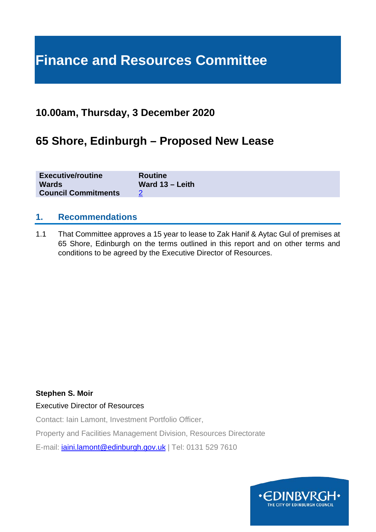# **Finance and Resources Committee**

# **10.00am, Thursday, 3 December 2020**

# **65 Shore, Edinburgh – Proposed New Lease**

| <b>Executive/routine</b>   | <b>Routine</b>    |
|----------------------------|-------------------|
| <b>Wards</b>               | Ward $13 -$ Leith |
| <b>Council Commitments</b> |                   |

# **1. Recommendations**

1.1 That Committee approves a 15 year to lease to Zak Hanif & Aytac Gul of premises at 65 Shore, Edinburgh on the terms outlined in this report and on other terms and conditions to be agreed by the Executive Director of Resources.

#### **Stephen S. Moir**

#### Executive Director of Resources

Contact: Iain Lamont, Investment Portfolio Officer,

Property and Facilities Management Division, Resources Directorate

E-mail: [iaini.lamont@edinburgh.gov.uk](mailto:iaini.lamont@edinburgh.gov.uk) | Tel: 0131 529 7610

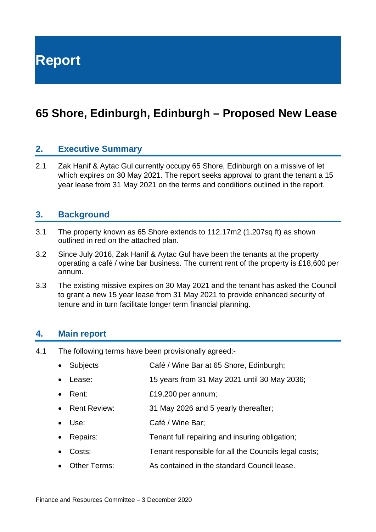**Report**

# **65 Shore, Edinburgh, Edinburgh – Proposed New Lease**

### **2. Executive Summary**

2.1 Zak Hanif & Aytac Gul currently occupy 65 Shore, Edinburgh on a missive of let which expires on 30 May 2021. The report seeks approval to grant the tenant a 15 year lease from 31 May 2021 on the terms and conditions outlined in the report.

#### **3. Background**

- 3.1 The property known as 65 Shore extends to 112.17m2 (1,207sq ft) as shown outlined in red on the attached plan.
- 3.2 Since July 2016, Zak Hanif & Aytac Gul have been the tenants at the property operating a café / wine bar business. The current rent of the property is £18,600 per annum.
- 3.3 The existing missive expires on 30 May 2021 and the tenant has asked the Council to grant a new 15 year lease from 31 May 2021 to provide enhanced security of tenure and in turn facilitate longer term financial planning.

#### **4. Main report**

- 4.1 The following terms have been provisionally agreed:-
	- Subjects Café / Wine Bar at 65 Shore, Edinburgh;
	- Lease: 15 years from 31 May 2021 until 30 May 2036;
	- Rent: £19,200 per annum;
	- Rent Review: 31 May 2026 and 5 yearly thereafter;
	- Use: Café / Wine Bar;
	- Repairs: Tenant full repairing and insuring obligation;
	- Costs: Tenant responsible for all the Councils legal costs;
	- Other Terms: As contained in the standard Council lease.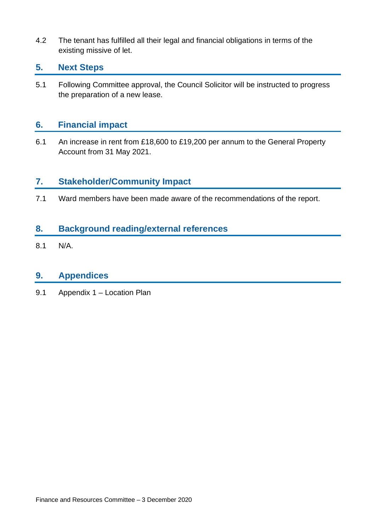4.2 The tenant has fulfilled all their legal and financial obligations in terms of the existing missive of let.

### **5. Next Steps**

5.1 Following Committee approval, the Council Solicitor will be instructed to progress the preparation of a new lease.

### **6. Financial impact**

6.1 An increase in rent from £18,600 to £19,200 per annum to the General Property Account from 31 May 2021.

# **7. Stakeholder/Community Impact**

7.1 Ward members have been made aware of the recommendations of the report.

# **8. Background reading/external references**

8.1 N/A.

# **9. Appendices**

9.1 Appendix 1 – Location Plan